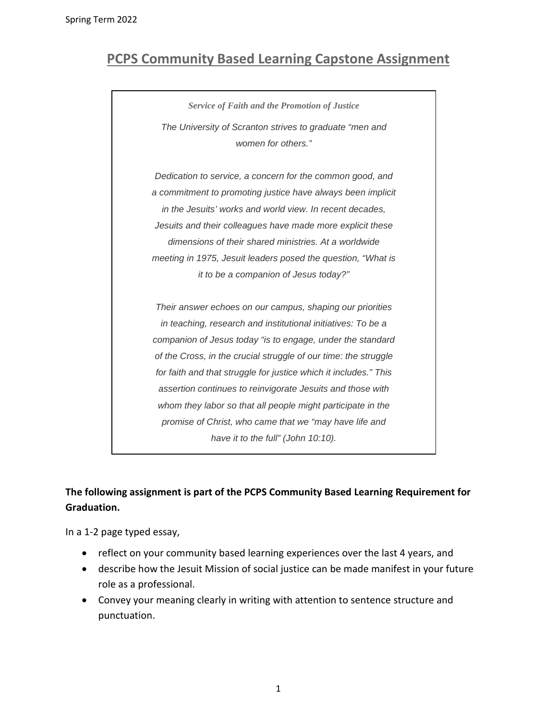## **PCPS Community Based Learning Capstone Assignment**

*Service of Faith and the Promotion of Justice The University of Scranton strives to graduate "men and women for others."* 

*Dedication to service, a concern for the common good, and a commitment to promoting justice have always been implicit in the Jesuits' works and world view. In recent decades, Jesuits and their colleagues have made more explicit these dimensions of their shared ministries. At a worldwide meeting in 1975, Jesuit leaders posed the question, "What is it to be a companion of Jesus today?"* 

*Their answer echoes on our campus, shaping our priorities in teaching, research and institutional initiatives: To be a companion of Jesus today "is to engage, under the standard of the Cross, in the crucial struggle of our time: the struggle for faith and that struggle for justice which it includes." This assertion continues to reinvigorate Jesuits and those with whom they labor so that all people might participate in the promise of Christ, who came that we "may have life and have it to the full" (John 10:10).*

## **The following assignment is part of the PCPS Community Based Learning Requirement for Graduation.**

In a 1-2 page typed essay,

- reflect on your community based learning experiences over the last 4 years, and
- describe how the Jesuit Mission of social justice can be made manifest in your future role as a professional.
- Convey your meaning clearly in writing with attention to sentence structure and punctuation.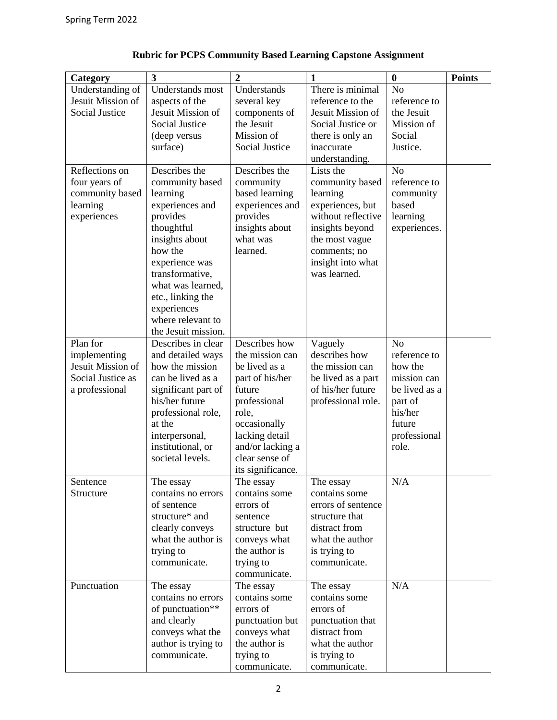| Category                | 3                                     | $\boldsymbol{2}$                   | 1                                      | $\boldsymbol{0}$      | <b>Points</b> |
|-------------------------|---------------------------------------|------------------------------------|----------------------------------------|-----------------------|---------------|
| Understanding of        | <b>Understands</b> most               | Understands                        | There is minimal                       | N <sub>o</sub>        |               |
| Jesuit Mission of       | aspects of the                        | several key                        | reference to the                       | reference to          |               |
| <b>Social Justice</b>   | Jesuit Mission of                     | components of                      | Jesuit Mission of                      | the Jesuit            |               |
|                         | <b>Social Justice</b>                 | the Jesuit                         | Social Justice or                      | Mission of            |               |
|                         | (deep versus                          | Mission of                         | there is only an                       | Social                |               |
|                         | surface)                              | Social Justice                     | inaccurate                             | Justice.              |               |
|                         |                                       |                                    | understanding.                         |                       |               |
| Reflections on          | Describes the                         | Describes the                      | Lists the                              | N <sub>o</sub>        |               |
| four years of           | community based                       | community                          | community based                        | reference to          |               |
| community based         | learning                              | based learning<br>experiences and  | learning                               | community<br>based    |               |
| learning<br>experiences | experiences and<br>provides           | provides                           | experiences, but<br>without reflective | learning              |               |
|                         | thoughtful                            | insights about                     | insights beyond                        | experiences.          |               |
|                         | insights about                        | what was                           | the most vague                         |                       |               |
|                         | how the                               | learned.                           | comments; no                           |                       |               |
|                         | experience was                        |                                    | insight into what                      |                       |               |
|                         | transformative,                       |                                    | was learned.                           |                       |               |
|                         | what was learned,                     |                                    |                                        |                       |               |
|                         | etc., linking the                     |                                    |                                        |                       |               |
|                         | experiences                           |                                    |                                        |                       |               |
|                         | where relevant to                     |                                    |                                        |                       |               |
|                         | the Jesuit mission.                   |                                    |                                        |                       |               |
| Plan for                | Describes in clear                    | Describes how                      | Vaguely                                | N <sub>o</sub>        |               |
| implementing            | and detailed ways                     | the mission can                    | describes how                          | reference to          |               |
| Jesuit Mission of       | how the mission                       | be lived as a                      | the mission can                        | how the               |               |
| Social Justice as       | can be lived as a                     | part of his/her                    | be lived as a part                     | mission can           |               |
| a professional          | significant part of                   | future                             | of his/her future                      | be lived as a         |               |
|                         | his/her future                        | professional                       | professional role.                     | part of               |               |
|                         | professional role,                    | role,                              |                                        | his/her               |               |
|                         | at the                                | occasionally                       |                                        | future                |               |
|                         | interpersonal,                        | lacking detail                     |                                        | professional<br>role. |               |
|                         | institutional, or<br>societal levels. | and/or lacking a<br>clear sense of |                                        |                       |               |
|                         |                                       | its significance.                  |                                        |                       |               |
| Sentence                | The essay                             | The essay                          | The essay                              | N/A                   |               |
| Structure               | contains no errors                    | contains some                      | contains some                          |                       |               |
|                         | of sentence                           | errors of                          | errors of sentence                     |                       |               |
|                         | structure* and                        | sentence                           | structure that                         |                       |               |
|                         | clearly conveys                       | structure but                      | distract from                          |                       |               |
|                         | what the author is                    | conveys what                       | what the author                        |                       |               |
|                         | trying to                             | the author is                      | is trying to                           |                       |               |
|                         | communicate.                          | trying to                          | communicate.                           |                       |               |
|                         |                                       | communicate.                       |                                        |                       |               |
| Punctuation             | The essay                             | The essay                          | The essay                              | N/A                   |               |
|                         | contains no errors                    | contains some                      | contains some                          |                       |               |
|                         | of punctuation**                      | errors of                          | errors of                              |                       |               |
|                         | and clearly                           | punctuation but                    | punctuation that                       |                       |               |
|                         | conveys what the                      | conveys what                       | distract from                          |                       |               |
|                         | author is trying to                   | the author is                      | what the author                        |                       |               |
|                         | communicate.                          | trying to                          | is trying to                           |                       |               |
|                         |                                       | communicate.                       | communicate.                           |                       |               |

## **Rubric for PCPS Community Based Learning Capstone Assignment**